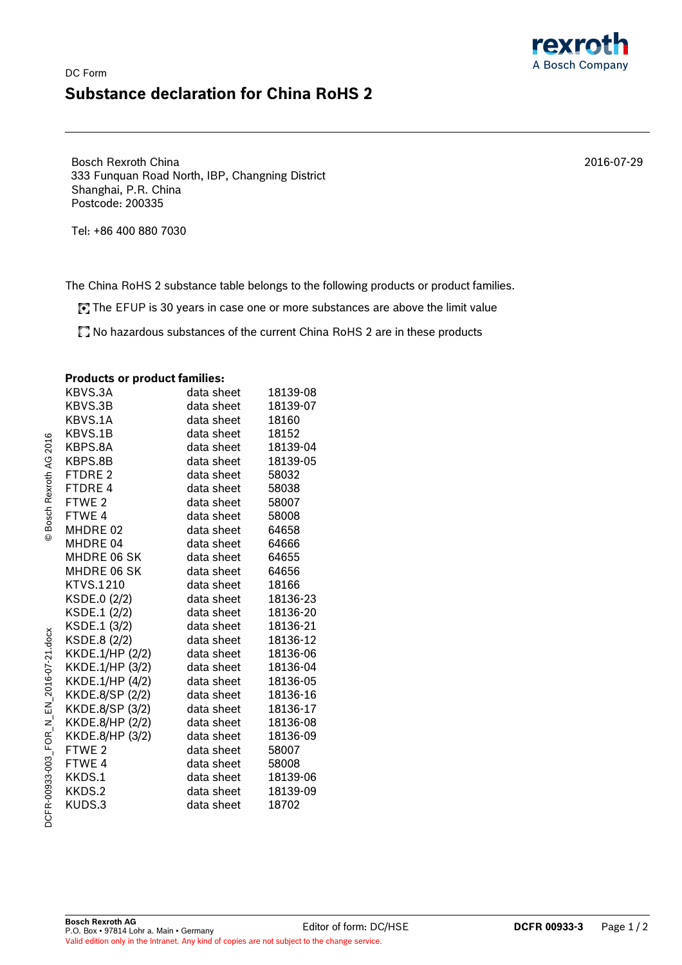## DC Form **Substance declaration for China RoHS 2**

Bosch Rexroth China 333 Funquan Road North, IBP, Changning District Shanghai, P.R. China Postcode: 200335

Tel: +86 400 880 7030

The China RoHS 2 substance table belongs to the following products or product families.

The EFUP is 30 years in case one or more substances are above the limit value

No hazardous substances of the current China RoHS 2 are in these products

## **Products or product families:**

| $\sim$ . $\sim$ . $\sim$ . $\sim$ . $\sim$ . $\sim$ . $\sim$ . $\sim$ |            |          |
|-----------------------------------------------------------------------|------------|----------|
| KBVS.3A                                                               | data sheet | 18139-08 |
| KBVS.3B                                                               | data sheet | 18139-07 |
| KBVS.1A                                                               | data sheet | 18160    |
| KBVS.1B                                                               | data sheet | 18152    |
| KBPS.8A                                                               | data sheet | 18139-04 |
| KBPS.8B                                                               | data sheet | 18139-05 |
| FTDRE 2                                                               | data sheet | 58032    |
| FTDRE 4                                                               | data sheet | 58038    |
| FTWE 2                                                                | data sheet | 58007    |
| FTWE 4                                                                | data sheet | 58008    |
| MHDRE 02                                                              | data sheet | 64658    |
| MHDRE 04                                                              | data sheet | 64666    |
| <b>MHDRE 06 SK</b>                                                    | data sheet | 64655    |
| MHDRE 06 SK                                                           | data sheet | 64656    |
| KTVS.1210                                                             | data sheet | 18166    |
| KSDE.0 (2/2)                                                          | data sheet | 18136-23 |
| KSDE.1 (2/2)                                                          | data sheet | 18136-20 |
| KSDE.1 (3/2)                                                          | data sheet | 18136-21 |
| KSDE.8 (2/2)                                                          | data sheet | 18136-12 |
| KKDE.1/HP (2/2)                                                       | data sheet | 18136-06 |
| KKDE.1/HP (3/2)                                                       | data sheet | 18136-04 |
| KKDE.1/HP (4/2)                                                       | data sheet | 18136-05 |
| KKDE.8/SP (2/2)                                                       | data sheet | 18136-16 |
| KKDE.8/SP (3/2)                                                       | data sheet | 18136-17 |
| KKDE.8/HP (2/2)                                                       | data sheet | 18136-08 |
| KKDE.8/HP (3/2)                                                       | data sheet | 18136-09 |
| FTWE <sub>2</sub>                                                     | data sheet | 58007    |
| FTWE 4                                                                | data sheet | 58008    |
| KKDS.1                                                                | data sheet | 18139-06 |
| KKDS.2                                                                | data sheet | 18139-09 |
| KUDS.3                                                                | data sheet | 18702    |
|                                                                       |            |          |

© Bosch Rexroth AG 2016

**Bosch Rexroth AG Bosch Rexroth AG P.O. Box • 97814 Lohr a. Main • Germany Bosch Rexroth AG DCFR 00933-3** Page 1 / 2 Valid edition only in the Intranet. Any kind of copies are not subject to the change service.

2016-07-29